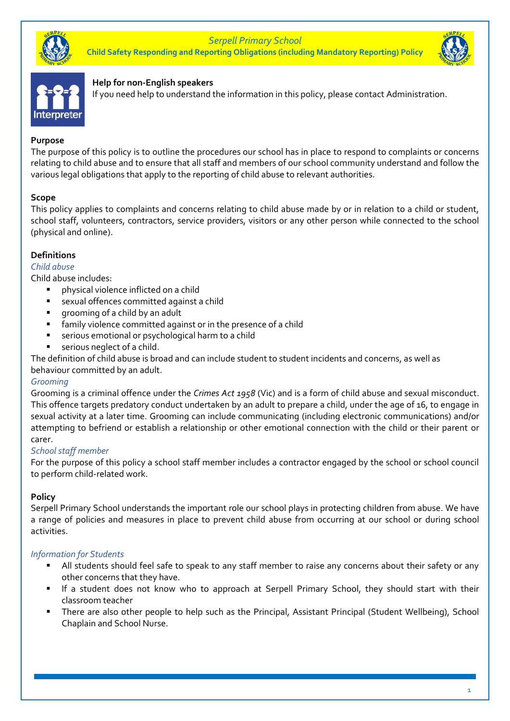*Serpell Primary School* **Child Safety Responding and Reporting Obligations (including Mandatory Reporting) Policy**





#### **Help for non-English speakers**

If you need help to understand the information in this policy, please contact Administration.

#### **Purpose**

The purpose of this policy is to outline the procedures our school has in place to respond to complaints or concerns relating to child abuse and to ensure that all staff and members of our school community understand and follow the various legal obligations that apply to the reporting of child abuse to relevant authorities.

#### **Scope**

This policy applies to complaints and concerns relating to child abuse made by or in relation to a child or student, school staff, volunteers, contractors, service providers, visitors or any other person while connected to the school (physical and online).

#### **Definitions**

*Child abuse*

Child abuse includes:

- physical violence inflicted on a child
- sexual offences committed against a child
- grooming of a child by an adult
- **E** family violence committed against or in the presence of a child
- serious emotional or psychological harm to a child
- serious neglect of a child.

The definition of child abuse is broad and can include student to student incidents and concerns, as well as behaviour committed by an adult.

#### *Grooming*

Grooming is a criminal offence under the *Crimes Act 1958* (Vic) and is a form of child abuse and sexual misconduct. This offence targets predatory conduct undertaken by an adult to prepare a child, under the age of 16, to engage in sexual activity at a later time. Grooming can include communicating (including electronic communications) and/or attempting to befriend or establish a relationship or other emotional connection with the child or their parent or carer.

#### *School staff member*

For the purpose of this policy a school staff member includes a contractor engaged by the school or school council to perform child-related work.

#### **Policy**

Serpell Primary School understands the important role our school plays in protecting children from abuse. We have a range of policies and measures in place to prevent child abuse from occurring at our school or during school activities.

#### *Information for Students*

- All students should feel safe to speak to any staff member to raise any concerns about their safety or any other concerns that they have.
- If a student does not know who to approach at Serpell Primary School, they should start with their classroom teacher
- There are also other people to help such as the Principal, Assistant Principal (Student Wellbeing), School Chaplain and School Nurse.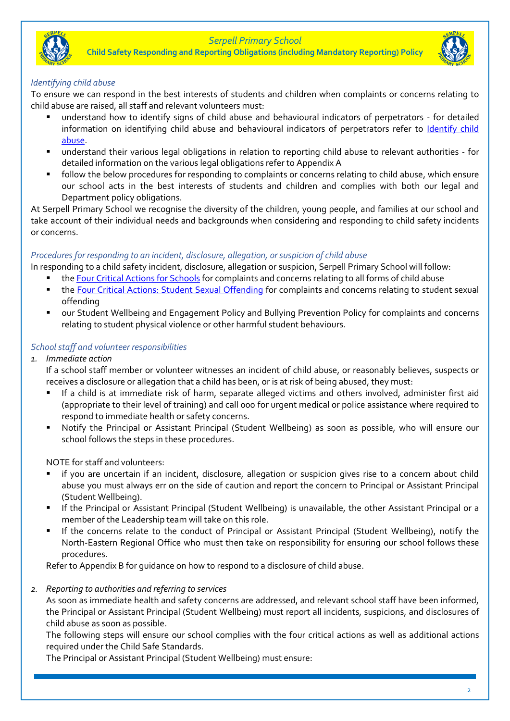

**Child Safety Responding and Reporting Obligations (including Mandatory Reporting) Policy**



#### *Identifying child abuse*

To ensure we can respond in the best interests of students and children when complaints or concerns relating to child abuse are raised, all staff and relevant volunteers must:

- understand how to identify signs of child abuse and behavioural indicators of perpetrators for detailed information on identifying child abuse and behavioural indicators of perpetrators refer to [Identify child](https://www.education.vic.gov.au/school/teachers/health/childprotection/Pages/identify.aspx)  [abuse.](https://www.education.vic.gov.au/school/teachers/health/childprotection/Pages/identify.aspx)
- understand their various legal obligations in relation to reporting child abuse to relevant authorities for detailed information on the various legal obligations refer to Appendix A
- follow the below procedures for responding to complaints or concerns relating to child abuse, which ensure our school acts in the best interests of students and children and complies with both our legal and Department policy obligations.

At Serpell Primary School we recognise the diversity of the children, young people, and families at our school and take account of their individual needs and backgrounds when considering and responding to child safety incidents or concerns.

### *Procedures for responding to an incident, disclosure, allegation, or suspicion of child abuse*

- In responding to a child safety incident, disclosure, allegation or suspicion, Serpell Primary School will follow:
	- th[e Four Critical Actions for Schools](https://www.education.vic.gov.au/Documents/about/programs/health/protect/FourCriticalActions_ChildAbuse.pdf) for complaints and concerns relating to all forms of child abuse
	- the [Four Critical Actions: Student Sexual Offending](https://www.education.vic.gov.au/school/teachers/health/childprotection/Pages/stusexual.aspx) for complaints and concerns relating to student sexual offending
	- our Student Wellbeing and Engagement Policy and Bullying Prevention Policy for complaints and concerns relating to student physical violence or other harmful student behaviours.

### *School staff and volunteer responsibilities*

- *1. Immediate action*
	- If a school staff member or volunteer witnesses an incident of child abuse, or reasonably believes, suspects or receives a disclosure or allegation that a child has been, or is at risk of being abused, they must:
	- If a child is at immediate risk of harm, separate alleged victims and others involved, administer first aid (appropriate to their level of training) and call 000 for urgent medical or police assistance where required to respond to immediate health or safety concerns.
	- Notify the Principal or Assistant Principal (Student Wellbeing) as soon as possible, who will ensure our school follows the steps in these procedures.

NOTE for staff and volunteers:

- if you are uncertain if an incident, disclosure, allegation or suspicion gives rise to a concern about child abuse you must always err on the side of caution and report the concern to Principal or Assistant Principal (Student Wellbeing).
- If the Principal or Assistant Principal (Student Wellbeing) is unavailable, the other Assistant Principal or a member of the Leadership team will take on this role.
- If the concerns relate to the conduct of Principal or Assistant Principal (Student Wellbeing), notify the North-Eastern Regional Office who must then take on responsibility for ensuring our school follows these procedures.

Refer to Appendix B for guidance on how to respond to a disclosure of child abuse.

#### *2. Reporting to authorities and referring to services*

As soon as immediate health and safety concerns are addressed, and relevant school staff have been informed, the Principal or Assistant Principal (Student Wellbeing) must report all incidents, suspicions, and disclosures of child abuse as soon as possible.

The following steps will ensure our school complies with the four critical actions as well as additional actions required under the Child Safe Standards.

The Principal or Assistant Principal (Student Wellbeing) must ensure: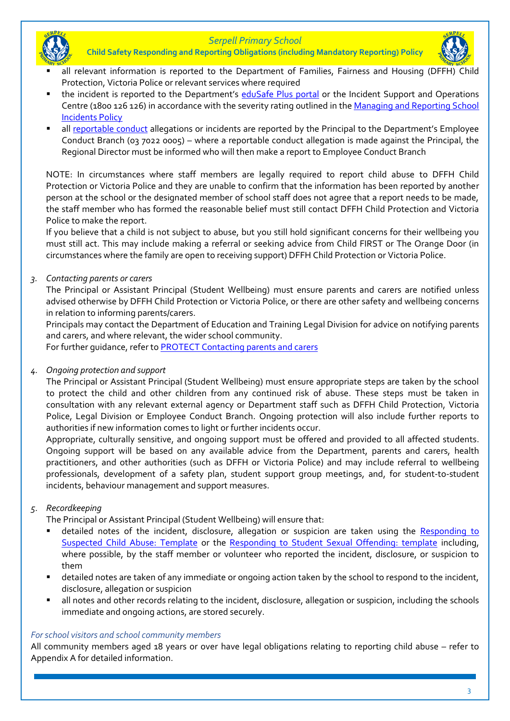



- all relevant information is reported to the Department of Families, Fairness and Housing (DFFH) Protection, Victoria Police or relevant services where required
- the incident is reported to the Department's [eduSafe Plus portal](https://services.educationapps.vic.gov.au/edusafeplus) or the Incident Support and Operations Centre (1800 126 126) in accordance with the severity rating outlined in the Managing and Reporting School [Incidents Policy](https://www2.education.vic.gov.au/pal/reporting-and-managing-school-incidents-including-emergencies/policy)
- all [reportable conduct](https://www2.education.vic.gov.au/pal/reportable-conduct-scheme/policy) allegations or incidents are reported by the Principal to the Department's Employee Conduct Branch (03 7022 0005) – where a reportable conduct allegation is made against the Principal, the Regional Director must be informed who will then make a report to Employee Conduct Branch

NOTE: In circumstances where staff members are legally required to report child abuse to DFFH Child Protection or Victoria Police and they are unable to confirm that the information has been reported by another person at the school or the designated member of school staff does not agree that a report needs to be made, the staff member who has formed the reasonable belief must still contact DFFH Child Protection and Victoria Police to make the report.

If you believe that a child is not subject to abuse, but you still hold significant concerns for their wellbeing you must still act. This may include making a referral or seeking advice from Child FIRST or The Orange Door (in circumstances where the family are open to receiving support) DFFH Child Protection or Victoria Police.

## *3. Contacting parents or carers*

The Principal or Assistant Principal (Student Wellbeing) must ensure parents and carers are notified unless advised otherwise by DFFH Child Protection or Victoria Police, or there are other safety and wellbeing concerns in relation to informing parents/carers.

Principals may contact the Department of Education and Training Legal Division for advice on notifying parents and carers, and where relevant, the wider school community.

For further quidance, refer to **PROTECT** Contacting parents and carers

# *4. Ongoing protection and support*

The Principal or Assistant Principal (Student Wellbeing) must ensure appropriate steps are taken by the school to protect the child and other children from any continued risk of abuse. These steps must be taken in consultation with any relevant external agency or Department staff such as DFFH Child Protection, Victoria Police, Legal Division or Employee Conduct Branch. Ongoing protection will also include further reports to authorities if new information comes to light or further incidents occur.

Appropriate, culturally sensitive, and ongoing support must be offered and provided to all affected students. Ongoing support will be based on any available advice from the Department, parents and carers, health practitioners, and other authorities (such as DFFH or Victoria Police) and may include referral to wellbeing professionals, development of a safety plan, student support group meetings, and, for student-to-student incidents, behaviour management and support measures.

# *5. Recordkeeping*

The Principal or Assistant Principal (Student Wellbeing) will ensure that:

- detailed notes of the incident, disclosure, allegation or suspicion are taken using the Responding to [Suspected Child Abuse: Template](https://www.education.vic.gov.au/Documents/about/programs/health/protect/PROTECT_Schoolstemplate.pdf) or the [Responding to Student Sexual Offending: template](https://www.education.vic.gov.au/Documents/about/programs/health/protect/SSO_ReportingTemplate.docx) including, where possible, by the staff member or volunteer who reported the incident, disclosure, or suspicion to them
- detailed notes are taken of any immediate or ongoing action taken by the school to respond to the incident, disclosure, allegation or suspicion
- all notes and other records relating to the incident, disclosure, allegation or suspicion, including the schools immediate and ongoing actions, are stored securely.

## *For school visitors and school community members*

All community members aged 18 years or over have legal obligations relating to reporting child abuse – refer to Appendix A for detailed information.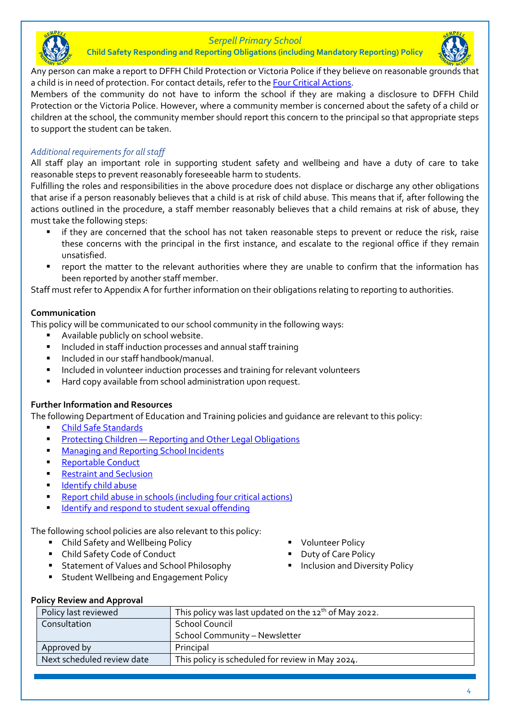

**Child Safety Responding and Reporting Obligations (including Mandatory Reporting) Policy**



Any person can make a report to DFFH Child Protection or Victoria Police if they believe on reasonable grounds that a child is in need of protection. For contact details, refer to th[e Four Critical Actions.](https://www.education.vic.gov.au/Documents/about/programs/health/protect/FourCriticalActions_ChildAbuse.pdf)

Members of the community do not have to inform the school if they are making a disclosure to DFFH Child Protection or the Victoria Police. However, where a community member is concerned about the safety of a child or children at the school, the community member should report this concern to the principal so that appropriate steps to support the student can be taken.

## *Additional requirements for all staff*

All staff play an important role in supporting student safety and wellbeing and have a duty of care to take reasonable steps to prevent reasonably foreseeable harm to students.

Fulfilling the roles and responsibilities in the above procedure does not displace or discharge any other obligations that arise if a person reasonably believes that a child is at risk of child abuse. This means that if, after following the actions outlined in the procedure, a staff member reasonably believes that a child remains at risk of abuse, they must take the following steps:

- if they are concerned that the school has not taken reasonable steps to prevent or reduce the risk, raise these concerns with the principal in the first instance, and escalate to the regional office if they remain unsatisfied.
- report the matter to the relevant authorities where they are unable to confirm that the information has been reported by another staff member.

Staff must refer to Appendix A for further information on their obligations relating to reporting to authorities.

#### **Communication**

This policy will be communicated to our school community in the following ways:

- Available publicly on school website.
- Included in staff induction processes and annual staff training
- Included in our staff handbook/manual.
- Included in volunteer induction processes and training for relevant volunteers
- Hard copy available from school administration upon request.

#### **Further Information and Resources**

The following Department of Education and Training policies and guidance are relevant to this policy:

- **[Child Safe Standards](https://www2.education.vic.gov.au/pal/child-safe-standards/policy)**
- **Protecting Children** [Reporting and Other Legal Obligations](https://www2.education.vic.gov.au/pal/protecting-children/policy)
- [Managing and Reporting School Incidents](https://www2.education.vic.gov.au/pal/reporting-and-managing-school-incidents-including-emergencies/policy)
- **[Reportable Conduct](https://www2.education.vic.gov.au/pal/reportable-conduct-scheme/policy)**
- **[Restraint and Seclusion](https://www2.education.vic.gov.au/pal/restraint-seclusion/policy)**
- **E** [Identify child abuse](https://www.education.vic.gov.au/school/teachers/health/childprotection/Pages/identify.aspx)
- [Report child abuse in schools \(including four critical actions\)](https://www.education.vic.gov.au/school/teachers/health/childprotection/Pages/report.aspx)
- [Identify and respond to student sexual offending](https://www.education.vic.gov.au/school/teachers/health/childprotection/Pages/stusexual.aspx)

The following school policies are also relevant to this policy:

- Child Safety and Wellbeing Policy
- Child Safety Code of Conduct
- Statement of Values and School Philosophy
- Student Wellbeing and Engagement Policy
- **Volunteer Policy**
- Duty of Care Policy
- **·** Inclusion and Diversity Policy

**Policy Review and Approval**

| Policy last reviewed       | This policy was last updated on the $12^{th}$ of May 2022. |
|----------------------------|------------------------------------------------------------|
| Consultation               | <b>School Council</b>                                      |
|                            | School Community - Newsletter                              |
| Approved by                | Principal                                                  |
| Next scheduled review date | This policy is scheduled for review in May 2024.           |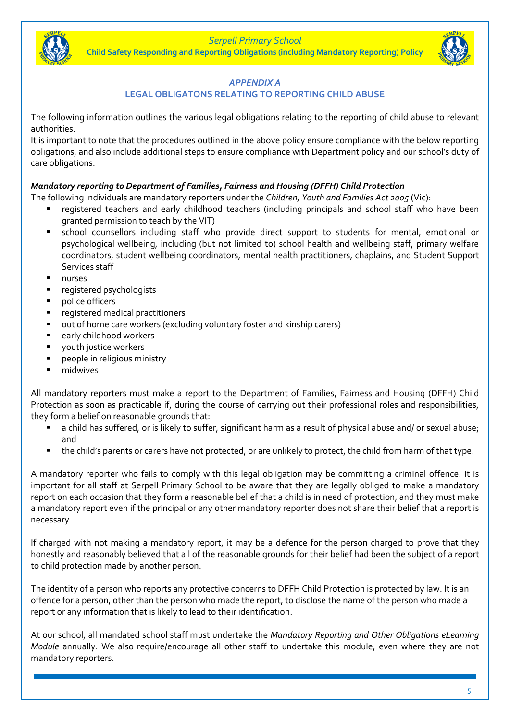**Child Safety Responding and Reporting Obligations (including Mandatory Reporting) Policy**



### *APPENDIX A*

### **LEGAL OBLIGATONS RELATING TO REPORTING CHILD ABUSE**

The following information outlines the various legal obligations relating to the reporting of child abuse to relevant authorities.

It is important to note that the procedures outlined in the above policy ensure compliance with the below reporting obligations, and also include additional steps to ensure compliance with Department policy and our school's duty of care obligations.

## *Mandatory reporting to Department of Families, Fairness and Housing (DFFH) Child Protection*

The following individuals are mandatory reporters under the *Children, Youth and Families Act 2005* (Vic):

- registered teachers and early childhood teachers (including principals and school staff who have been granted permission to teach by the VIT)
- school counsellors including staff who provide direct support to students for mental, emotional or psychological wellbeing, including (but not limited to) school health and wellbeing staff, primary welfare coordinators, student wellbeing coordinators, mental health practitioners, chaplains, and Student Support Services staff
- nurses
- registered psychologists
- police officers
- registered medical practitioners
- out of home care workers (excluding voluntary foster and kinship carers)
- early childhood workers
- youth justice workers
- people in religious ministry
- midwives

All mandatory reporters must make a report to the Department of Families, Fairness and Housing (DFFH) Child Protection as soon as practicable if, during the course of carrying out their professional roles and responsibilities, they form a belief on reasonable grounds that:

- a child has suffered, or is likely to suffer, significant harm as a result of physical abuse and/ or sexual abuse; and
- the child's parents or carers have not protected, or are unlikely to protect, the child from harm of that type.

A mandatory reporter who fails to comply with this legal obligation may be committing a criminal offence. It is important for all staff at Serpell Primary School to be aware that they are legally obliged to make a mandatory report on each occasion that they form a reasonable belief that a child is in need of protection, and they must make a mandatory report even if the principal or any other mandatory reporter does not share their belief that a report is necessary.

If charged with not making a mandatory report, it may be a defence for the person charged to prove that they honestly and reasonably believed that all of the reasonable grounds for their belief had been the subject of a report to child protection made by another person.

The identity of a person who reports any protective concerns to DFFH Child Protection is protected by law. It is an offence for a person, other than the person who made the report, to disclose the name of the person who made a report or any information that is likely to lead to their identification.

At our school, all mandated school staff must undertake the *Mandatory Reporting and Other Obligations eLearning Module* annually. We also require/encourage all other staff to undertake this module, even where they are not mandatory reporters.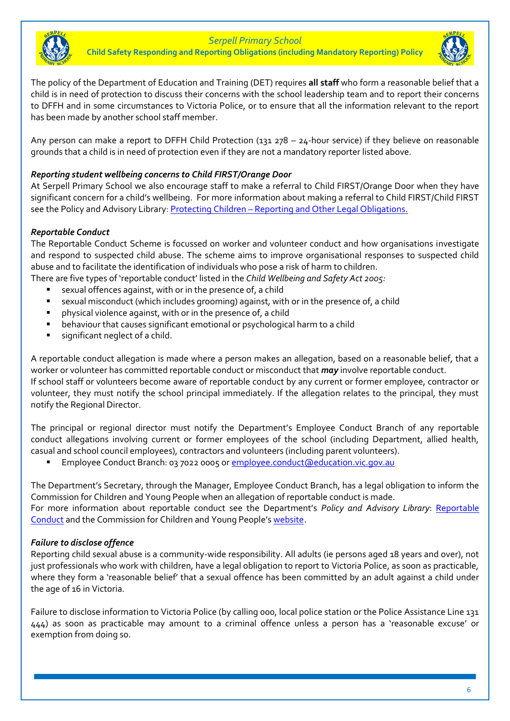

**Child Safety Responding and Reporting Obligations (including Mandatory Reporting) Policy**



The policy of the Department of Education and Training (DET) requires **all staff** who form a reasonable belief that a child is in need of protection to discuss their concerns with the school leadership team and to report their concerns to DFFH and in some circumstances to Victoria Police, or to ensure that all the information relevant to the report has been made by another school staff member.

Any person can make a report to DFFH Child Protection (131 278 – 24-hour service) if they believe on reasonable grounds that a child is in need of protection even if they are not a mandatory reporter listed above.

## *Reporting student wellbeing concerns to Child FIRST/Orange Door*

At Serpell Primary School we also encourage staff to make a referral to Child FIRST/Orange Door when they have significant concern for a child's wellbeing. For more information about making a referral to Child FIRST/Child FIRST see the Policy and Advisory Library: Protecting Children – [Reporting and Other Legal Obligations.](https://www2.education.vic.gov.au/pal/protecting-children/policy)

### *Reportable Conduct*

The Reportable Conduct Scheme is focussed on worker and volunteer conduct and how organisations investigate and respond to suspected child abuse. The scheme aims to improve organisational responses to suspected child abuse and to facilitate the identification of individuals who pose a risk of harm to children.

There are five types of 'reportable conduct' listed in the *Child Wellbeing and Safety Act 2005:*

- sexual offences against, with or in the presence of, a child
- **•** sexual misconduct (which includes grooming) against, with or in the presence of, a child
- physical violence against, with or in the presence of, a child
- behaviour that causes significant emotional or psychological harm to a child
- significant neglect of a child.

A reportable conduct allegation is made where a person makes an allegation, based on a reasonable belief, that a worker or volunteer has committed reportable conduct or misconduct that *may* involve reportable conduct. If school staff or volunteers become aware of reportable conduct by any current or former employee, contractor or volunteer, they must notify the school principal immediately. If the allegation relates to the principal, they must notify the Regional Director.

The principal or regional director must notify the Department's Employee Conduct Branch of any reportable conduct allegations involving current or former employees of the school (including Department, allied health, casual and school council employees), contractors and volunteers (including parent volunteers).

Employee Conduct Branch: 03 7022 0005 o[r employee.conduct@education.vic.gov.au](mailto:employee.conduct@education.vic.gov.au)

The Department's Secretary, through the Manager, Employee Conduct Branch, has a legal obligation to inform the Commission for Children and Young People when an allegation of reportable conduct is made. For more information about reportable conduct see the Department's *Policy and Advisory Library*: [Reportable](https://www2.education.vic.gov.au/pal/reportable-conduct-scheme/policy)  [Conduct](https://www2.education.vic.gov.au/pal/reportable-conduct-scheme/policy) and the Commission for Children and Young People's [website.](https://ccyp.vic.gov.au/reportable-conduct-scheme/)

#### *Failure to disclose offence*

Reporting child sexual abuse is a community-wide responsibility. All adults (ie persons aged 18 years and over), not just professionals who work with children, have a legal obligation to report to Victoria Police, as soon as practicable, where they form a 'reasonable belief' that a sexual offence has been committed by an adult against a child under the age of 16 in Victoria.

Failure to disclose information to Victoria Police (by calling 000, local police station or the Police Assistance Line 131 444) as soon as practicable may amount to a criminal offence unless a person has a 'reasonable excuse' or exemption from doing so.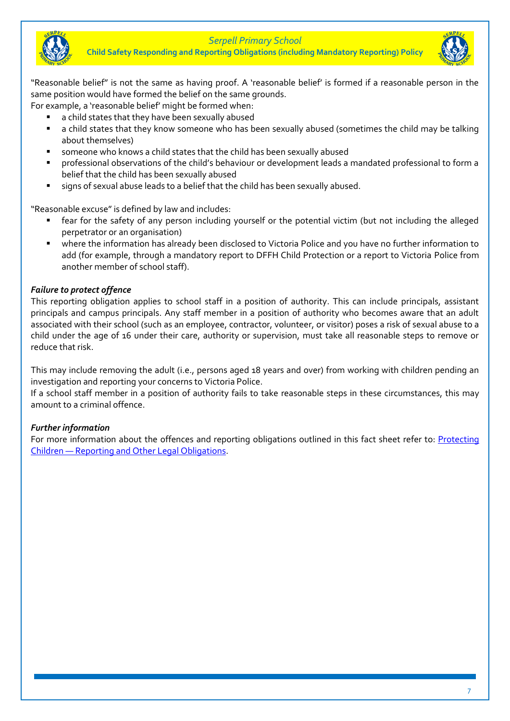

**Child Safety Responding and Reporting Obligations (including Mandatory Reporting) Policy**



"Reasonable belief" is not the same as having proof. A 'reasonable belief' is formed if a reasonable person in the same position would have formed the belief on the same grounds.

For example, a 'reasonable belief' might be formed when:

- a child states that they have been sexually abused
- a child states that they know someone who has been sexually abused (sometimes the child may be talking about themselves)
- someone who knows a child states that the child has been sexually abused
- professional observations of the child's behaviour or development leads a mandated professional to form a belief that the child has been sexually abused
- signs of sexual abuse leads to a belief that the child has been sexually abused.

"Reasonable excuse" is defined by law and includes:

- fear for the safety of any person including yourself or the potential victim (but not including the alleged perpetrator or an organisation)
- where the information has already been disclosed to Victoria Police and you have no further information to add (for example, through a mandatory report to DFFH Child Protection or a report to Victoria Police from another member of school staff).

### *Failure to protect offence*

This reporting obligation applies to school staff in a position of authority. This can include principals, assistant principals and campus principals. Any staff member in a position of authority who becomes aware that an adult associated with their school (such as an employee, contractor, volunteer, or visitor) poses a risk of sexual abuse to a child under the age of 16 under their care, authority or supervision, must take all reasonable steps to remove or reduce that risk.

This may include removing the adult (i.e., persons aged 18 years and over) from working with children pending an investigation and reporting your concerns to Victoria Police.

If a school staff member in a position of authority fails to take reasonable steps in these circumstances, this may amount to a criminal offence.

## *Further information*

For more information about the offences and reporting obligations outlined in this fact sheet refer to: [Protecting](https://www2.education.vic.gov.au/pal/protecting-children/policy)  Children — [Reporting and Other](https://www2.education.vic.gov.au/pal/protecting-children/policy) Legal Obligations.